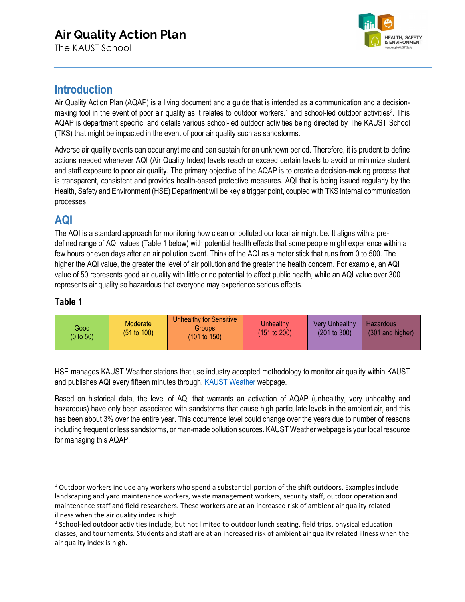# **Air Quality Action Plan**

The KAUST School



### **Introduction**

Air Quality Action Plan (AQAP) is a living document and a guide that is intended as a communication and a decision-making tool in the event of poor air quality as it relates to outdoor workers.<sup>[1](#page-0-0)</sup> and school-led outdoor activities<sup>[2](#page-0-1)</sup>. This AQAP is department specific, and details various school-led outdoor activities being directed by The KAUST School (TKS) that might be impacted in the event of poor air quality such as sandstorms.

Adverse air quality events can occur anytime and can sustain for an unknown period. Therefore, it is prudent to define actions needed whenever AQI (Air Quality Index) levels reach or exceed certain levels to avoid or minimize student and staff exposure to poor air quality. The primary objective of the AQAP is to create a decision-making process that is transparent, consistent and provides health-based protective measures. AQI that is being issued regularly by the Health, Safety and Environment (HSE) Department will be key a trigger point, coupled with TKS internal communication processes.

### **AQI**

The AQI is a standard approach for monitoring how clean or polluted our local air might be. It aligns with a predefined range of AQI values (Table 1 below) with potential health effects that some people might experience within a few hours or even days after an air pollution event. Think of the AQI as a meter stick that runs from 0 to 500. The higher the AQI value, the greater the level of air pollution and the greater the health concern. For example, an AQI value of 50 represents good air quality with little or no potential to affect public health, while an AQI value over 300 represents air quality so hazardous that everyone may experience serious effects.

#### **Table 1**

| Moderate<br>Good<br>(51 to 100)<br>$(0 \text{ to } 50)$ | Unhealthy for Sensitive<br><b>Groups</b><br>$(101 \text{ to } 150)$ | Unhealthy<br>(151 to 200) | <b>Very Unhealthy</b><br>(201 to 300) | Hazardous<br>(301 and higher) |
|---------------------------------------------------------|---------------------------------------------------------------------|---------------------------|---------------------------------------|-------------------------------|
|---------------------------------------------------------|---------------------------------------------------------------------|---------------------------|---------------------------------------|-------------------------------|

HSE manages KAUST Weather stations that use industry accepted methodology to monitor air quality within KAUST and publishes AQI every fifteen minutes through. [KAUST Weather](https://hse.kaust.edu.sa/Services/Pages/KAUSTweather.aspx) webpage.

Based on historical data, the level of AQI that warrants an activation of AQAP (unhealthy, very unhealthy and hazardous) have only been associated with sandstorms that cause high particulate levels in the ambient air, and this has been about 3% over the entire year. This occurrence level could change over the years due to number of reasons including frequent or less sandstorms, or man-made pollution sources. KAUST Weather webpage is your local resource for managing this AQAP.

<span id="page-0-0"></span> $1$  Outdoor workers include any workers who spend a substantial portion of the shift outdoors. Examples include landscaping and yard maintenance workers, waste management workers, security staff, outdoor operation and maintenance staff and field researchers. These workers are at an increased risk of ambient air quality related illness when the air quality index is high.

<span id="page-0-1"></span> $2$  School-led outdoor activities include, but not limited to outdoor lunch seating, field trips, physical education classes, and tournaments. Students and staff are at an increased risk of ambient air quality related illness when the air quality index is high.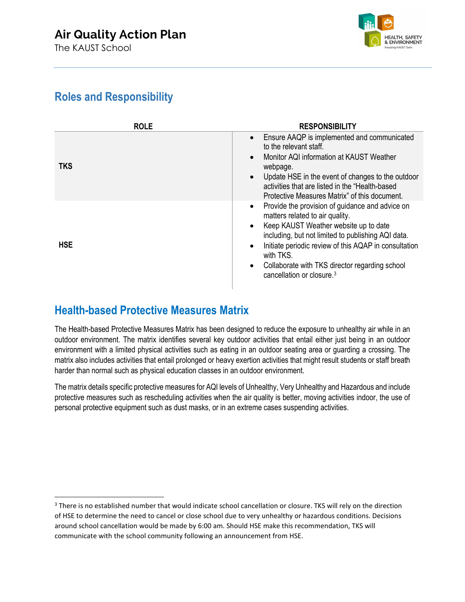

## **Roles and Responsibility**

| <b>ROLE</b> | <b>RESPONSIBILITY</b>                                                                                                                                                                                                                                                                                                                                                        |
|-------------|------------------------------------------------------------------------------------------------------------------------------------------------------------------------------------------------------------------------------------------------------------------------------------------------------------------------------------------------------------------------------|
| <b>TKS</b>  | Ensure AAQP is implemented and communicated<br>to the relevant staff.<br>Monitor AQI information at KAUST Weather<br>webpage.<br>Update HSE in the event of changes to the outdoor<br>activities that are listed in the "Health-based<br>Protective Measures Matrix" of this document.                                                                                       |
| <b>HSE</b>  | Provide the provision of guidance and advice on<br>$\bullet$<br>matters related to air quality.<br>Keep KAUST Weather website up to date<br>including, but not limited to publishing AQI data.<br>Initiate periodic review of this AQAP in consultation<br>with TKS.<br>Collaborate with TKS director regarding school<br>$\bullet$<br>cancellation or closure. <sup>3</sup> |

## **Health-based Protective Measures Matrix**

The Health-based Protective Measures Matrix has been designed to reduce the exposure to unhealthy air while in an outdoor environment. The matrix identifies several key outdoor activities that entail either just being in an outdoor environment with a limited physical activities such as eating in an outdoor seating area or guarding a crossing. The matrix also includes activities that entail prolonged or heavy exertion activities that might result students or staff breath harder than normal such as physical education classes in an outdoor environment.

The matrix details specific protective measures for AQI levels of Unhealthy, Very Unhealthy and Hazardous and include protective measures such as rescheduling activities when the air quality is better, moving activities indoor, the use of personal protective equipment such as dust masks, or in an extreme cases suspending activities.

<span id="page-1-0"></span><sup>&</sup>lt;sup>3</sup> There is no established number that would indicate school cancellation or closure. TKS will rely on the direction of HSE to determine the need to cancel or close school due to very unhealthy or hazardous conditions. Decisions around school cancellation would be made by 6:00 am. Should HSE make this recommendation, TKS will communicate with the school community following an announcement from HSE.